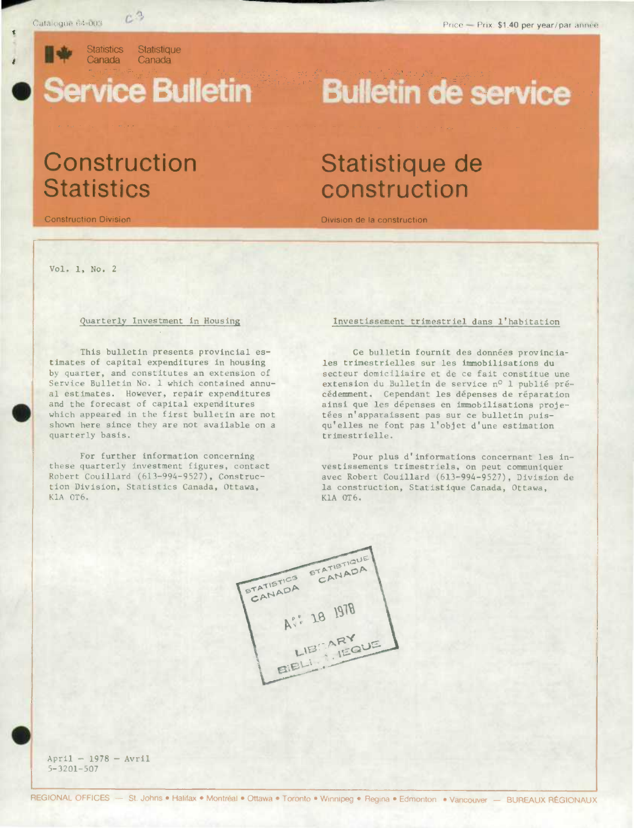Catalogue 64-003 C<sup>23</sup>

**r. In Statistics Statistique**<br>Canada Canada Canada Canada

# .<br>.

## **Construction Statistique de<br>Statistics construction**

**Bulletin de service** 

### **construction**

Construction Division Division de Is construction

Vol. 1, No. 2

### Quarterly Investment in Housing

. This bulletin presents provincial estimates of capital expenditures in housing by quarter, and constitutes an extension of Service Bulletin No. 1 which contained annual estimates. However, repair expenditures and the forecast of capital expenditures which appeared in the first bulletin are not shown here since they are not available on a quarterly basis.

> For further information concerning these quarterly investment figures, contact Robert Couillard (613-994-9527), Construction Division, Statistics Canada, Ottawa, K1A 0T6.

#### Investissement trimestriel dans l'habitation

Ce bulletin fournit des données provincialea trimestrielles sur les immobilisations du secteur domiciliaire et de ce fait constitue une extension du Bulletin de service nº 1 publié précédemment. Cependant les dépenses de réparation ainsi que les dépenses en immobilisations projetées n'apparaissent pas sur ce bulletin puisqu'elles ne font pas l'objet d'une estimation trimestrielle.

Pour plus d'informations concernant les investissements trimestriels, on peut communiquer avec Robert Coulliard (613-994-9527), Division de la construction, Statistique Canada, Ottawa, K1A 0T6.



 $April - 1978 - Avr11$ 5-3201-507 .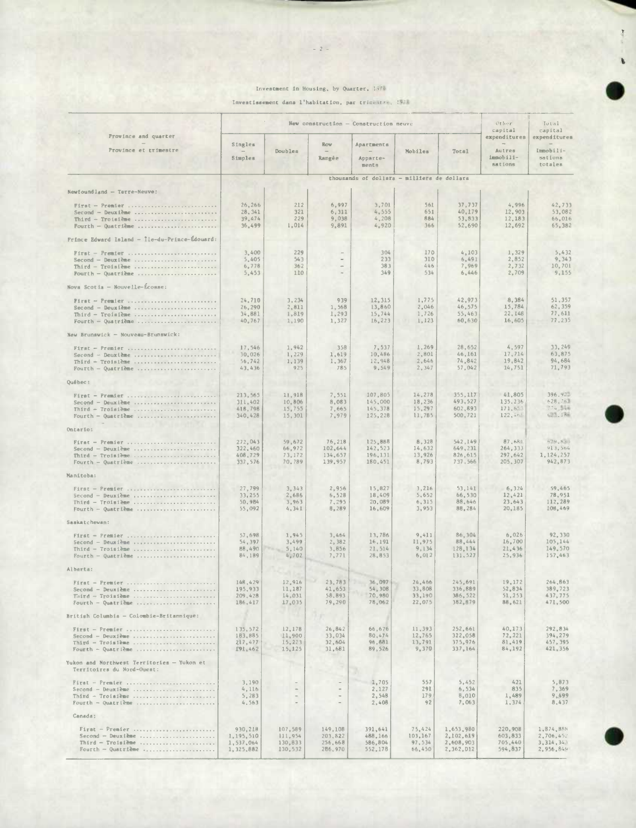#### Investment in Housing, by Quarter, 1976

Investissement dans l'habitation, par trimestre, 1976

|                                                                                             | New construction - Construction neuve          |                                                     |                                                                |                                            |                                       |                                                   | Other<br>capital                               | Total<br>capital                                 |
|---------------------------------------------------------------------------------------------|------------------------------------------------|-----------------------------------------------------|----------------------------------------------------------------|--------------------------------------------|---------------------------------------|---------------------------------------------------|------------------------------------------------|--------------------------------------------------|
| Province and quarter<br>Province et trimestre                                               | Singles<br>$\qquad \qquad -$<br>Simples        | Doubles                                             | Row<br>$\overline{\phantom{m}}$<br>Rangée                      | Apartments<br>$\sim$<br>Apparte-<br>ments  | Mobiles                               | Total                                             | expenditures<br>Autres<br>immobili-<br>sations | expenditures<br>Immobili-<br>sations<br>totales  |
|                                                                                             |                                                |                                                     |                                                                | thousands of dollars - milliers de dollars |                                       |                                                   |                                                |                                                  |
| $Newton1 and -Terve-Neuve:$                                                                 |                                                |                                                     |                                                                |                                            |                                       |                                                   |                                                |                                                  |
| First - Premier<br>Second - Deuxième<br>Third - Troisième<br>Fourth - Quatrième             | 26,266<br>28, 341<br>39,474<br>36,499          | 212<br>321<br>229<br>1,014                          | 6,997<br>6,311<br>9,038<br>9,891                               | 3,701<br>4, 555<br>4,208<br>4,920          | 561<br>651<br>884<br>366              | 37,737<br>40,179<br>53, 533<br>52,690             | 4,996<br>12,903<br>12,183<br>12,692            | 42,733<br>53,082<br>66,016<br>65,382             |
| Frince Edward Island - Île-du-Prince-Édouard:                                               |                                                |                                                     |                                                                |                                            |                                       |                                                   |                                                |                                                  |
| First - Premier<br>$Second - Deux$ ieux ieme<br>Third - Troisième<br>Fourth - Quatrième     | 3,400<br>5,405<br>6,778<br>5,453               | 229<br>543<br>362<br>110                            |                                                                | 304<br>233<br>383<br>349                   | 170<br>310<br>446<br>534              | 4,103<br>6,491<br>7,969<br>6,446                  | 1,329<br>2,852<br>2,732<br>2,709               | 5,432<br>9.343<br>10,701<br>9,155                |
| Novs Scotia - Nouvelle-Écosse:                                                              |                                                |                                                     |                                                                |                                            |                                       |                                                   |                                                |                                                  |
| $First - Figure 1$<br>$Second - Deux$ ième<br>Third - Troisième<br>Fourth - Quatrième       | 24.710<br>26,290<br>34,881<br>40.767           | 3,234<br>2,811<br>1,819<br>1,190                    | 939<br>1,568<br>1,293<br>1,327                                 | 12,315<br>13,860<br>15,744<br>16,223       | 1,775<br>2,046<br>1,726<br>1,123      | 42,973<br>46,575<br>55,463<br>60,630              | 8,384<br>15.784<br>22, 148<br>16,605           | 51,357<br>62,359<br>77,611<br>77,235             |
| New Brunswick - Nouveau-Brunswick:                                                          |                                                |                                                     |                                                                |                                            |                                       |                                                   |                                                |                                                  |
| First - Premier<br>Second - Deuxième<br>Third - Troisième<br>Fourth - Quatrième             | 17,546<br>30,026<br>56,742<br>43.436           | 1.942<br>1,229<br>1,139<br>925                      | 358<br>1,619<br>1,367<br>785                                   | 7,537<br>10.486<br>12,948<br>9,549         | 1,269<br>2,801<br>2,646<br>2,347      | 28,652<br>46,161<br>74,842<br>57,042              | 4,597<br>17,714<br>19,842<br>14,751            | 33,249<br>63,875<br>94,684<br>71,793             |
| Québec:                                                                                     |                                                |                                                     |                                                                |                                            |                                       |                                                   |                                                |                                                  |
| Second - Deuxième<br>Third - Troisième<br>Fourth - Quatrième                                | 213,565<br>311,402<br>418,798<br>340,428       | 11,918<br>10,806<br>15,755<br>15,301                | 7.551<br>8,083<br>7,665<br>7,979                               | 107,805<br>145,000<br>145,378<br>125,228   | 14,278<br>18,236<br>15,297<br>11,785  | 355,117<br>493,527<br>602,893<br>500,721          | 41,805<br>135,236<br>171,653<br>122,465        | 396.93.<br>628,76<br>224,546<br>6.13.186         |
| Ontario:                                                                                    |                                                |                                                     |                                                                |                                            |                                       |                                                   |                                                |                                                  |
| $First - Premier $<br>$Second - Deurl2me      $<br>Third - Troisième<br>Fourth - Quatrième  | 272.043<br>322,460<br>408,729<br>337.576       | 59,672<br>66,972<br>73,172<br>70,789                | 76,218<br>102,644<br>134,657<br>139,957                        | 125,8BB<br>142,523<br>196,131<br>180,451   | 8.328<br>14,632<br>13,926<br>8,793    | 542.149<br>649,231<br>826,615<br>737.566          | 87.681<br>264.333<br>297,642<br>205, 307       | $h^{3}9, B30$<br>913.564<br>1,124,257<br>942,873 |
| Manitoba:                                                                                   |                                                |                                                     |                                                                |                                            |                                       |                                                   |                                                |                                                  |
| $First - Premier  ,$<br>Third - Troisième<br>Fourth - Quatrième                             | 27,799<br>33,255<br>50,984<br>55,092           | 3,343<br>2,686<br>3,963<br>4, 341                   | 2,956<br>6,528<br>7,295<br>8,289                               | 15,827<br>18,409<br>20,089<br>16,609       | 3,216<br>5,652<br>6, 315<br>3,953     | 53,141<br>66.530<br>88.646<br>88,284              | 6, 324<br>12,421<br>23,643<br>20,185           | 59,465<br>78,951<br>112,289<br>108,469           |
| Saskatchewan:                                                                               |                                                |                                                     |                                                                |                                            |                                       |                                                   |                                                |                                                  |
| $First - Premier$<br>$Second - Deux$ ième<br>Third - Troisième<br>Fourth - Quatrième        | 57.698<br>54.397<br>88,490<br>84,189           | 1,945<br>3,499<br>5,140<br>4,702                    | 3,464<br>2,382<br>3,856<br>7,771                               | 13,786<br>16,191<br>21,514<br>28,853       | 9,411<br>11,975<br>9,134<br>6,012     | 86,304<br>88,444<br>128,134<br>131,527            | 6,026<br>16,700<br>21,436<br>25,936            | 92,330<br>105,144<br>149,570<br>157,463          |
| Alberta:                                                                                    |                                                |                                                     |                                                                |                                            |                                       |                                                   |                                                |                                                  |
| First -<br>Premier<br>Second - Deuxième<br>Fourth - Quatrième                               | 148.429<br>195,933<br>209,428<br>186,417       | 12,916<br>11,187<br>14,031<br>17,035                | 23,783<br>41,653<br>58,893<br>79,290                           | 36,097<br>54,308<br>70,980<br>78,062       | 24.466<br>33,808<br>33,190<br>22,075  | 245,691<br>336,889<br>386, 522<br>382,879         | 19,172<br>52,834<br>51,253<br>88,621           | 264,863<br>389,723<br>437,775<br>471,500         |
| British Columbia - Colombie-Britannique:                                                    |                                                |                                                     |                                                                |                                            |                                       |                                                   |                                                |                                                  |
| $First - Premier          $<br>Second - Deuxième<br>Third - Troisième<br>Fourth - Quatrième | 135,572<br>183,885<br>217,477<br>191,462       | 12,178<br>11,900<br>15,223<br>15,125                | 26,842<br>33,034<br>32,604<br>31,681                           | 66,676<br>80,474<br>96,881<br>89,526       | 11,393<br>12,765<br>13,791<br>9,370   | 252,661<br>322,058<br>375,976<br>337,164          | 40,173<br>72,221<br>81,419<br>84,192           | 292,834<br>394,279<br>457, 395<br>421, 356       |
| Yukon and Northwest Territories - Yukon et<br>Territoires du Nord-Ouest:                    |                                                |                                                     |                                                                |                                            |                                       |                                                   |                                                |                                                  |
| $First - Premler         $<br>Third - Troisième<br>Fourth - Quatrième                       | 3,190<br>4,116<br>5,283<br>4,563               | $\sim$<br>$\frac{1}{2}$<br>$\overline{\phantom{a}}$ | $\overline{\phantom{a}}$<br>$\sim$<br>$\sim$<br>$\overline{a}$ | 1,705<br>2,127<br>2,548<br>2,408           | 557<br>291<br>179<br>92               | 5,452<br>6, 534<br>8,010<br>7,063                 | 421<br>835<br>1,489<br>1,374                   | 5,873<br>7,369<br>9,499<br>8,437                 |
| Canada:                                                                                     |                                                |                                                     |                                                                |                                            |                                       |                                                   |                                                |                                                  |
| $First - Premier $<br>$Second - Deux$ ime<br>Third - Troisième<br>Fourth - Quatrième        | 930,218<br>1,195,510<br>1,537,064<br>1,325,882 | 107,589<br>111,954<br>130,833<br>130,532            | 149,108<br>203,822<br>256,668<br>286,970                       | 391,641<br>488,166<br>586,804<br>552,178   | 75,424<br>103,167<br>97,534<br>66,450 | 1,653,980<br>2,102,619<br>2,608,903<br>2,362, D12 | 220,908<br>603,833<br>705,440<br>594,837       | 1,874,888<br>2,706,452<br>3,314,343<br>2,956,849 |

#### $-2-$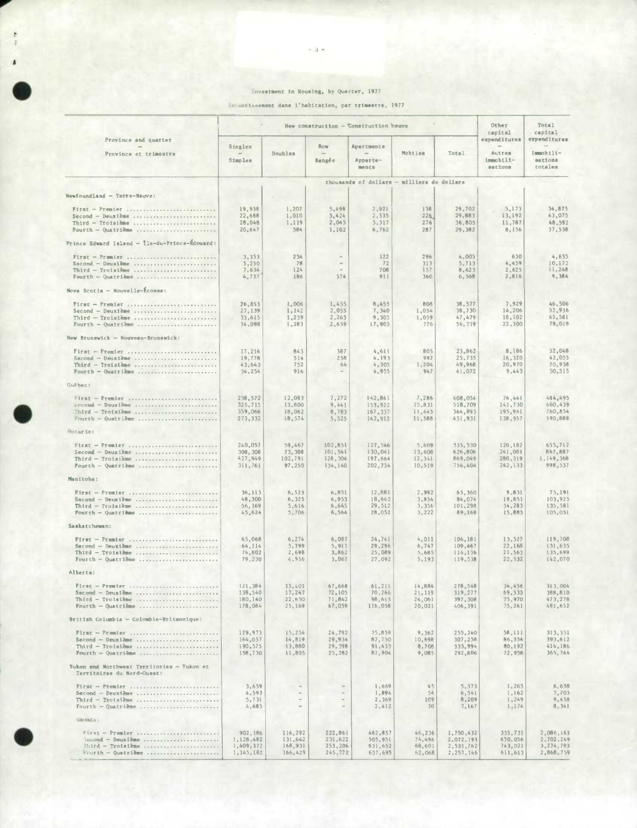#### Investment in Housing, by Quarter, 1977

 $-3 -$ 

investissement dans l'habitation, par trimestre, 1977

| Province and quarter<br>Province et trimestre                                               | New construction - Construction heuve           |                                          |                                          |                                            |                                      |                                                  |                                                | Total<br>capital                                 |
|---------------------------------------------------------------------------------------------|-------------------------------------------------|------------------------------------------|------------------------------------------|--------------------------------------------|--------------------------------------|--------------------------------------------------|------------------------------------------------|--------------------------------------------------|
|                                                                                             | Singles<br>Simples                              | Doubles                                  | Row<br>Rangée                            | Apartments<br>Apparte-<br>ments            | Mobiles                              | Total                                            | expenditures<br>Autres<br>immobili-<br>sations | expenditures<br>Immobili-<br>sations<br>totales  |
|                                                                                             |                                                 |                                          |                                          | thousands of dollars - milliers de dollars |                                      |                                                  |                                                |                                                  |
| Newfoundland - Terre-Neuve:                                                                 |                                                 |                                          |                                          |                                            |                                      |                                                  |                                                |                                                  |
| First - Premier<br>$Second - Deux1$<br>Third - Troisiàme<br>Fourth - Quatrième              | 19,938<br>22,688<br>28,048<br>20.647            | 1,207<br>1,010<br>1,119<br>584           | 5,498<br>3,424<br>2,045<br>1,102         | 2.921<br>2,535<br>5,317<br>6,762           | 138<br>226<br>276<br>287             | 29,702<br>29,883<br>36,805<br>29,382             | 5.173<br>13,192<br>11,787<br>8,156             | 34,875<br>43,075<br>48.592<br>37,538             |
| Prince Edward Island - Île-du-Prince-Édouard:                                               |                                                 |                                          |                                          |                                            |                                      |                                                  |                                                |                                                  |
| First - Premier<br>$Second - Deuxime $<br>Third - Troisième<br>Fourth - Quatrième           | 3,353<br>5,250<br>7,634<br>4,737                | 234<br>78<br>1.24<br>186                 | $\sim$<br>374                            | 122<br>72<br>708<br>911                    | 296<br>313<br>157<br>360             | 4,005<br>5,713<br>8,623<br>6, 568                | 630<br>4,459<br>2,625<br>2,816                 | 4,635<br>10.172<br>11,248<br>9,384               |
| Nova Scotia - Nouvelle-Écosse:                                                              |                                                 |                                          |                                          |                                            |                                      |                                                  |                                                |                                                  |
| First - Premier<br>Third - Troisième<br>Fourth - Quatrième                                  | 26,853<br>27,139<br>33,615<br>34,098            | 1,006<br>1,142<br>1,239<br>1,283         | 1,455<br>2,055<br>2,263<br>2,659         | 8,455<br>7,340<br>9,303<br>17,903          | 808<br>1,054<br>1,059<br>776         | 38,577<br>38,730<br>47,479<br>56,719             | 7.929<br>14,206<br>18,102<br>22,300            | 46,506<br>52,936<br>65,581<br>79.019             |
| New Brunswick - Nouveau-Brunswick:                                                          |                                                 |                                          |                                          |                                            |                                      |                                                  |                                                |                                                  |
| $First - Premier        $<br>Third - Troisième<br>Fourth - Quatrième                        | 17.216<br>19,778<br>43,643<br>34,254            | 843<br>514<br>752<br>916                 | 387<br>258<br>64                         | 4,611<br>4,193<br>4,305<br>4,955           | 805<br>992<br>1.204<br>947           | 23,862<br>25,735<br>49,968<br>41,072             | <b>B.186</b><br>16,320<br>20,970<br>9,443      | 32,048<br>42,055<br>70.938<br>50,515             |
| Québec:                                                                                     |                                                 |                                          |                                          |                                            |                                      |                                                  |                                                |                                                  |
| First - Premier<br>Second - Deuxième<br>Fourth - Quatrième                                  | 238,572<br>325,715<br>359,066<br>273,332        | 12,083<br>13,800<br>18,062<br>18,574     | 7,272<br>9.441<br>8,783<br>5,525         | 142,841<br>153,922<br>167,337<br>142,912   | 7,286<br>15,831<br>11,645<br>11,588  | 408,054<br>518,709<br>564,893<br>451,931         | 76,441<br>141,730<br>195,961<br>138,957        | 484,495<br>660,439<br>760.854<br>590,888         |
| thitar io:                                                                                  |                                                 |                                          |                                          |                                            |                                      |                                                  |                                                |                                                  |
| First - Premier<br>$Second - Deux1Bme$<br>Third - Troisième<br>Fourth - Quatrième           | 240,057<br>308, 308<br>427,949<br>311,761       | 59,467<br>73,308<br>102,791<br>97,250    | 102,851<br>101,541<br>128,304<br>134,140 | 127,546<br>130,041<br>197,664<br>202,734   | 5,609<br>13,608<br>12,341<br>10,519  | 535,530<br>626,806<br>869,049<br>756,404         | 120,182<br>241,081<br>280,319<br>242, 133      | 655,712<br>867,887<br>1,149,368<br>998,537       |
| Manitoba:                                                                                   |                                                 |                                          |                                          |                                            |                                      |                                                  |                                                |                                                  |
| First - Premier<br>$Second - Deux1eme $<br>$Third - Troisileme$<br>Fourth - Quatrième       | 36, 113<br>48,300<br>56.169<br>45,624           | 6, 523<br>6,325<br>5,616<br>5,706        | 6,851<br>6,953<br>6.645<br>6.564         | 12,881<br>18.642<br>29.512<br>28,052       | 2,992<br>3,854<br>3,356<br>3,222     | 65,360<br>84.074<br>101,298<br>89,168            | 9,831<br>19,851<br>34,283<br>15,883            | 75,191<br>103,925<br>135,581<br>105,051          |
| Saskatchewan:                                                                               |                                                 |                                          |                                          |                                            |                                      |                                                  |                                                |                                                  |
| First - Premier<br>$Second - Deuxi\ddot{\theta}$<br>Third - Troisième<br>Fourth - Quatrième | 65,068<br>64.114<br>76,802<br>79,230            | 6,274<br>3,399<br>2,698<br>4,956         | 6,087<br>5,911<br>3,862<br>3,067         | 24, 741<br>29,296<br>25,089<br>27,092      | 4,011<br>6,747<br>5,685<br>5,193     | 106,181<br>109,467<br>114,136<br>119,538         | 13,527<br>22,168<br>21,563<br>22,532           | 119,708<br>131,635<br>135,699<br>142,070         |
| Alberta:                                                                                    |                                                 |                                          |                                          |                                            |                                      |                                                  |                                                |                                                  |
| $P$ irar — Premier<br>Second - Deuxième<br>Third - Troinième<br>Fourth - Quatrième          | 121.384<br>138,540<br>180,140<br>178,084        | 13,401<br>17,247<br>22, 650<br>25,169    | 67,668<br>72,105<br>71,842<br>67,059     | 61,211<br>70,266<br>98,615<br>116,058      | 14,884<br>21,119<br>24,061<br>20,021 | 278,548<br>319,277<br>397,308<br>406,391         | 34,456<br>69,533<br>75,970<br>75,261           | 313,004<br>388,810<br>473,278<br>481,652         |
| British Columbia - Colombie-Britannique:                                                    |                                                 |                                          |                                          |                                            |                                      |                                                  |                                                |                                                  |
| $Second - Oeuxi$ and $$<br>$Third -Troisième $<br>Fourth - Quatrième                        | 129.973<br>164,057<br>190,575<br>158,730        | 15,254<br>14,819<br>13,880<br>11,805     | 24,792<br>29.934<br>29,398<br>25,282     | 75,859<br>87,750<br>91,433<br>87,904       | 9,362<br>10,698<br>8,708<br>9,085    | 255, 240<br>307,258<br>333,994<br>292,806        | 58,111<br>86,354<br>80,192<br>72,958           | 313,351<br>393,612<br>414,186<br>365,764         |
| Yukon and Northwest Territories - Yukon et<br>Territoires du Nord-Ouest:                    |                                                 |                                          |                                          |                                            |                                      |                                                  |                                                |                                                  |
| $Pirst - Premier$<br>Second - Deuxième<br>Third - Troisième<br>Fourth - Quatrième           | 3,659<br>4,593<br>5,731<br>4,685                |                                          |                                          | 1,669<br>1,894<br>2,369<br>2,412           | 45<br>54<br>109<br>70                | 5,373<br>6, 541<br>8,209<br>7,167                | 1,265<br>1,162<br>1,249<br>1,174               | 6,638<br>7,703<br>9,458<br>8, 341                |
| Ganada:                                                                                     |                                                 |                                          |                                          |                                            |                                      |                                                  |                                                |                                                  |
| First - Premier<br>Semond - Deuxième<br>Fourth - Quatrième                                  | 902, 186<br>1,128,482<br>1,409,372<br>1,145,182 | 116,292<br>131,642<br>168,931<br>166,429 | 222,861<br>231,622<br>253,206<br>245,772 | 462,857<br>505,951<br>631,652<br>637,695   | 46,236<br>74,496<br>68,601<br>62,068 | 1,750,432<br>2,072,193<br>2,531,762<br>2,257,146 | 335,731<br>630,056<br>743,021<br>611, 613      | 2,086,163<br>2,702,249<br>3,274,783<br>2,868,759 |